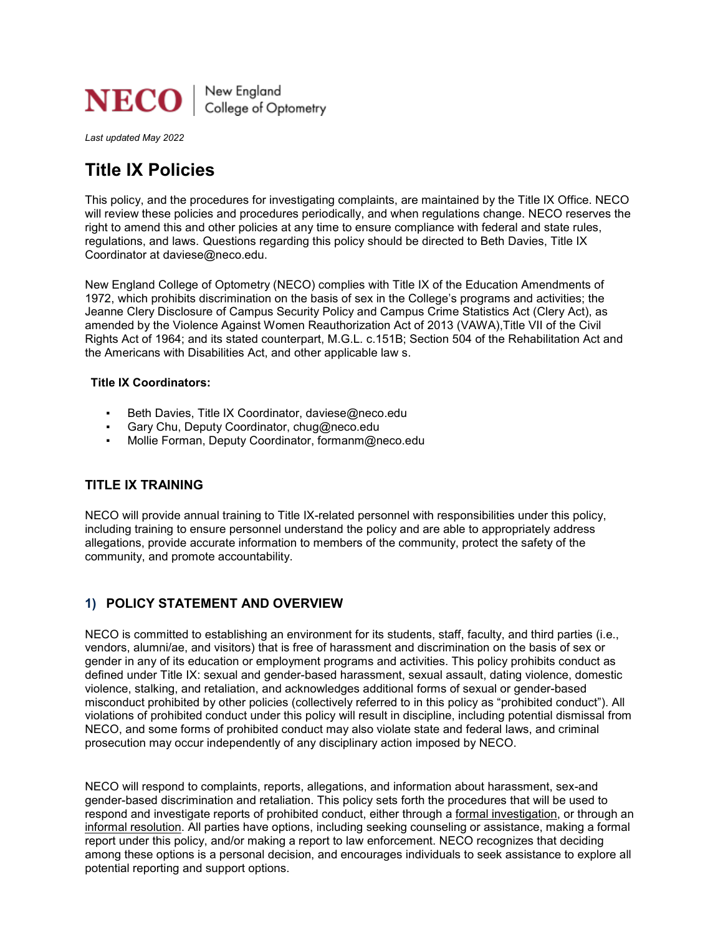

*Last updated May 2022*

# **Title IX Policies**

This policy, and the procedures for investigating complaints, are maintained by the Title IX Office. NECO will review these policies and procedures periodically, and when regulations change. NECO reserves the right to amend this and other policies at any time to ensure compliance with federal and state rules, regulations, and laws. Questions regarding this policy should be directed to Beth Davies, Title IX Coordinator at daviese@neco.edu.

New England College of Optometry (NECO) complies with Title IX of the Education Amendments of 1972, which prohibits discrimination on the basis of sex in the College's programs and activities; the Jeanne Clery Disclosure of Campus Security Policy and Campus Crime Statistics Act (Clery Act), as amended by the Violence Against Women Reauthorization Act of 2013 (VAWA),Title VII of the Civil Rights Act of 1964; and its stated counterpart, M.G.L. c.151B; Section 504 of the Rehabilitation Act and the Americans with Disabilities Act, and other applicable law s.

### **Title IX Coordinators:**

- Beth Davies, Title IX Coordinator, daviese@neco.edu
- Gary Chu, Deputy Coordinator, chug@neco.edu
- Mollie Forman, Deputy Coordinator, formanm@neco.edu

# **TITLE IX TRAINING**

NECO will provide annual training to Title IX-related personnel with responsibilities under this policy, including training to ensure personnel understand the policy and are able to appropriately address allegations, provide accurate information to members of the community, protect the safety of the community, and promote accountability.

# **1) POLICY STATEMENT AND OVERVIEW**

NECO is committed to establishing an environment for its students, staff, faculty, and third parties (i.e., vendors, alumni/ae, and visitors) that is free of harassment and discrimination on the basis of sex or gender in any of its education or employment programs and activities. This policy prohibits conduct as defined under Title IX: sexual and gender-based harassment, sexual assault, dating violence, domestic violence, stalking, and retaliation, and acknowledges additional forms of sexual or gender-based misconduct prohibited by other policies (collectively referred to in this policy as "prohibited conduct"). All violations of prohibited conduct under this policy will result in discipline, including potential dismissal from NECO, and some forms of prohibited conduct may also violate state and federal laws, and criminal prosecution may occur independently of any disciplinary action imposed by NECO.

NECO will respond to complaints, reports, allegations, and information about harassment, sex-and gender-based discrimination and retaliation. This policy sets forth the procedures that will be used to respond and investigate reports of prohibited conduct, either through a formal investigation, or through an informal resolution. All parties have options, including seeking counseling or assistance, making a formal report under this policy, and/or making a report to law enforcement. NECO recognizes that deciding among these options is a personal decision, and encourages individuals to seek assistance to explore all potential reporting and support options.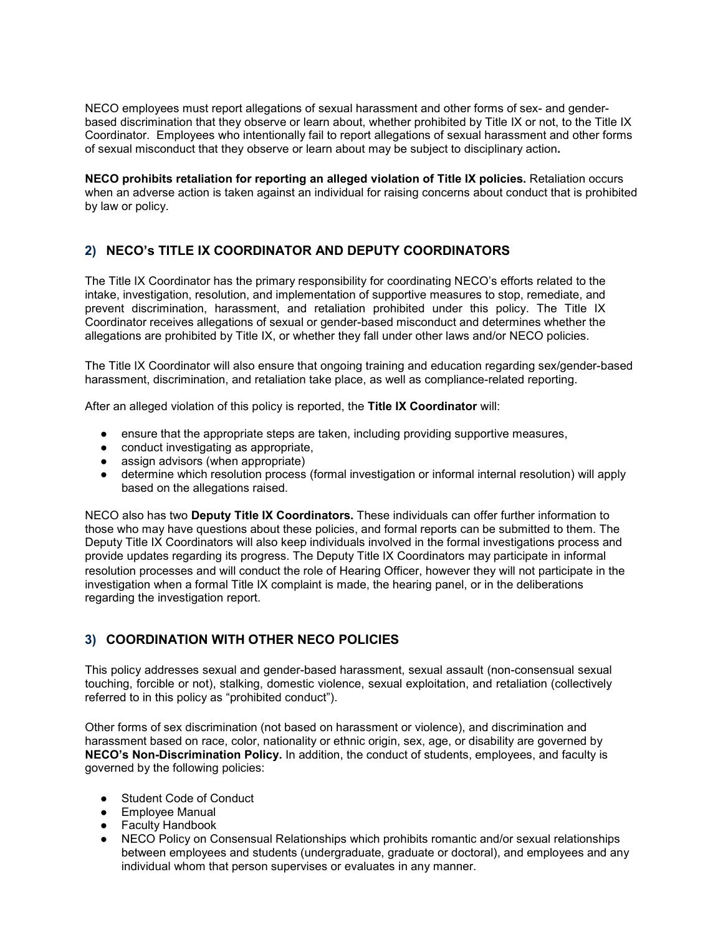NECO employees must report allegations of sexual harassment and other forms of sex- and genderbased discrimination that they observe or learn about, whether prohibited by Title IX or not, to the Title IX Coordinator. Employees who intentionally fail to report allegations of sexual harassment and other forms of sexual misconduct that they observe or learn about may be subject to disciplinary action**.**

**NECO prohibits retaliation for reporting an alleged violation of Title IX policies.** Retaliation occurs when an adverse action is taken against an individual for raising concerns about conduct that is prohibited by law or policy.

# **2) NECO's TITLE IX COORDINATOR AND DEPUTY COORDINATORS**

The Title IX Coordinator has the primary responsibility for coordinating NECO's efforts related to the intake, investigation, resolution, and implementation of supportive measures to stop, remediate, and prevent discrimination, harassment, and retaliation prohibited under this policy. The Title IX Coordinator receives allegations of sexual or gender-based misconduct and determines whether the allegations are prohibited by Title IX, or whether they fall under other laws and/or NECO policies.

The Title IX Coordinator will also ensure that ongoing training and education regarding sex/gender-based harassment, discrimination, and retaliation take place, as well as compliance-related reporting.

After an alleged violation of this policy is reported, the **Title IX Coordinator** will:

- ensure that the appropriate steps are taken, including providing supportive measures,
- conduct investigating as appropriate,
- assign advisors (when appropriate)
- determine which resolution process (formal investigation or informal internal resolution) will apply based on the allegations raised.

NECO also has two **Deputy Title IX Coordinators.** These individuals can offer further information to those who may have questions about these policies, and formal reports can be submitted to them. The Deputy Title IX Coordinators will also keep individuals involved in the formal investigations process and provide updates regarding its progress. The Deputy Title IX Coordinators may participate in informal resolution processes and will conduct the role of Hearing Officer, however they will not participate in the investigation when a formal Title IX complaint is made, the hearing panel, or in the deliberations regarding the investigation report.

# **3) COORDINATION WITH OTHER NECO POLICIES**

This policy addresses sexual and gender-based harassment, sexual assault (non-consensual sexual touching, forcible or not), stalking, domestic violence, sexual exploitation, and retaliation (collectively referred to in this policy as "prohibited conduct").

Other forms of sex discrimination (not based on harassment or violence), and discrimination and harassment based on race, color, nationality or ethnic origin, sex, age, or disability are governed by **NECO's Non-Discrimination Policy.** In addition, the conduct of students, employees, and faculty is governed by the following policies:

- **Student Code of Conduct**
- **Employee Manual**
- **Faculty Handbook**
- NECO Policy on Consensual Relationships which prohibits romantic and/or sexual relationships between employees and students (undergraduate, graduate or doctoral), and employees and any individual whom that person supervises or evaluates in any manner.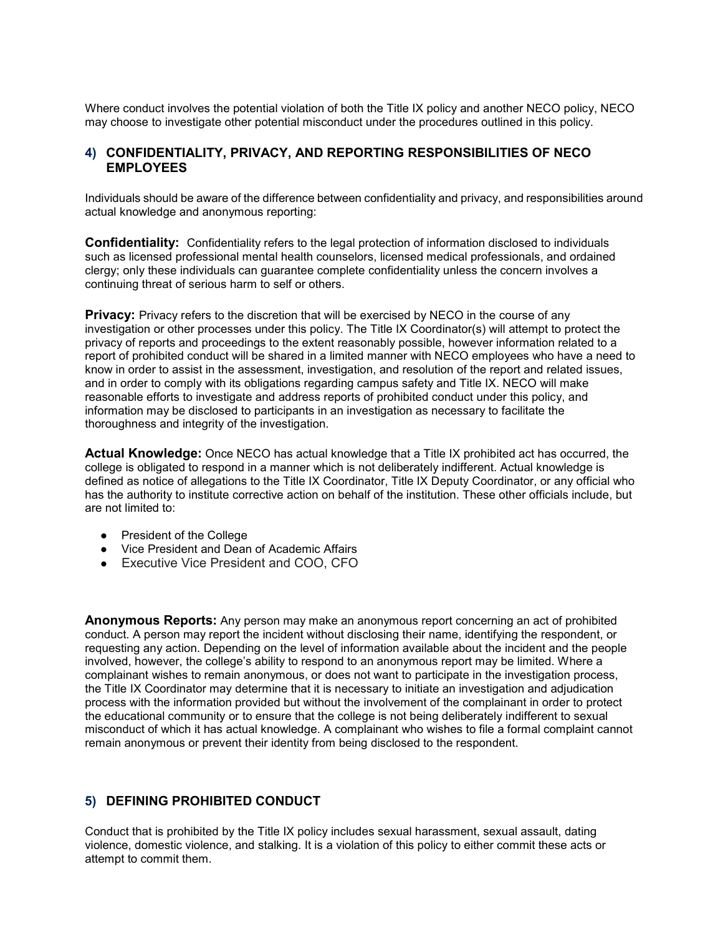Where conduct involves the potential violation of both the Title IX policy and another NECO policy, NECO may choose to investigate other potential misconduct under the procedures outlined in this policy.

# **4) CONFIDENTIALITY, PRIVACY, AND REPORTING RESPONSIBILITIES OF NECO EMPLOYEES**

Individuals should be aware of the difference between confidentiality and privacy, and responsibilities around actual knowledge and anonymous reporting:

**Confidentiality:** Confidentiality refers to the legal protection of information disclosed to individuals such as licensed professional mental health counselors, licensed medical professionals, and ordained clergy; only these individuals can guarantee complete confidentiality unless the concern involves a continuing threat of serious harm to self or others.

**Privacy:** Privacy refers to the discretion that will be exercised by NECO in the course of any investigation or other processes under this policy. The Title IX Coordinator(s) will attempt to protect the privacy of reports and proceedings to the extent reasonably possible, however information related to a report of prohibited conduct will be shared in a limited manner with NECO employees who have a need to know in order to assist in the assessment, investigation, and resolution of the report and related issues, and in order to comply with its obligations regarding campus safety and Title IX. NECO will make reasonable efforts to investigate and address reports of prohibited conduct under this policy, and information may be disclosed to participants in an investigation as necessary to facilitate the thoroughness and integrity of the investigation.

**Actual Knowledge:** Once NECO has actual knowledge that a Title IX prohibited act has occurred, the college is obligated to respond in a manner which is not deliberately indifferent. Actual knowledge is defined as notice of allegations to the Title IX Coordinator, Title IX Deputy Coordinator, or any official who has the authority to institute corrective action on behalf of the institution. These other officials include, but are not limited to:

- President of the College
- Vice President and Dean of Academic Affairs
- Executive Vice President and COO, CFO

**Anonymous Reports:** Any person may make an anonymous report concerning an act of prohibited conduct. A person may report the incident without disclosing their name, identifying the respondent, or requesting any action. Depending on the level of information available about the incident and the people involved, however, the college's ability to respond to an anonymous report may be limited. Where a complainant wishes to remain anonymous, or does not want to participate in the investigation process, the Title IX Coordinator may determine that it is necessary to initiate an investigation and adjudication process with the information provided but without the involvement of the complainant in order to protect the educational community or to ensure that the college is not being deliberately indifferent to sexual misconduct of which it has actual knowledge. A complainant who wishes to file a formal complaint cannot remain anonymous or prevent their identity from being disclosed to the respondent.

# **5) DEFINING PROHIBITED CONDUCT**

Conduct that is prohibited by the Title IX policy includes sexual harassment, sexual assault, dating violence, domestic violence, and stalking. It is a violation of this policy to either commit these acts or attempt to commit them.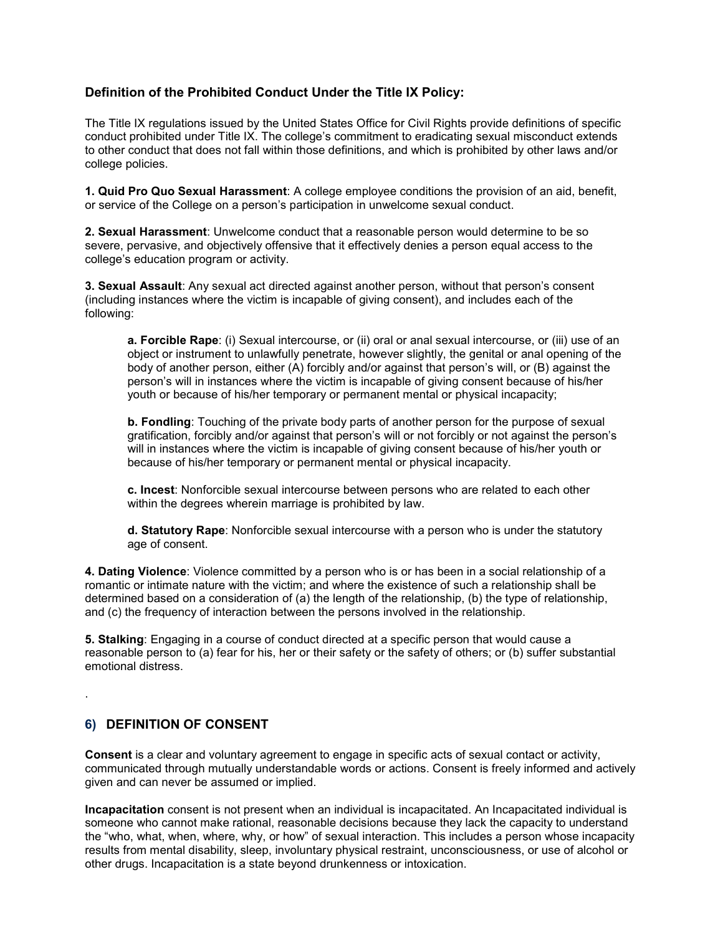# **Definition of the Prohibited Conduct Under the Title IX Policy:**

The Title IX regulations issued by the United States Office for Civil Rights provide definitions of specific conduct prohibited under Title IX. The college's commitment to eradicating sexual misconduct extends to other conduct that does not fall within those definitions, and which is prohibited by other laws and/or college policies.

**1. Quid Pro Quo Sexual Harassment**: A college employee conditions the provision of an aid, benefit, or service of the College on a person's participation in unwelcome sexual conduct.

**2. Sexual Harassment**: Unwelcome conduct that a reasonable person would determine to be so severe, pervasive, and objectively offensive that it effectively denies a person equal access to the college's education program or activity.

**3. Sexual Assault**: Any sexual act directed against another person, without that person's consent (including instances where the victim is incapable of giving consent), and includes each of the following:

**a. Forcible Rape**: (i) Sexual intercourse, or (ii) oral or anal sexual intercourse, or (iii) use of an object or instrument to unlawfully penetrate, however slightly, the genital or anal opening of the body of another person, either (A) forcibly and/or against that person's will, or (B) against the person's will in instances where the victim is incapable of giving consent because of his/her youth or because of his/her temporary or permanent mental or physical incapacity;

**b. Fondling**: Touching of the private body parts of another person for the purpose of sexual gratification, forcibly and/or against that person's will or not forcibly or not against the person's will in instances where the victim is incapable of giving consent because of his/her youth or because of his/her temporary or permanent mental or physical incapacity.

**c. Incest**: Nonforcible sexual intercourse between persons who are related to each other within the degrees wherein marriage is prohibited by law.

**d. Statutory Rape**: Nonforcible sexual intercourse with a person who is under the statutory age of consent.

**4. Dating Violence**: Violence committed by a person who is or has been in a social relationship of a romantic or intimate nature with the victim; and where the existence of such a relationship shall be determined based on a consideration of (a) the length of the relationship, (b) the type of relationship, and (c) the frequency of interaction between the persons involved in the relationship.

**5. Stalking**: Engaging in a course of conduct directed at a specific person that would cause a reasonable person to (a) fear for his, her or their safety or the safety of others; or (b) suffer substantial emotional distress.

# **6) DEFINITION OF CONSENT**

.

**Consent** is a clear and voluntary agreement to engage in specific acts of sexual contact or activity, communicated through mutually understandable words or actions. Consent is freely informed and actively given and can never be assumed or implied.

**Incapacitation** consent is not present when an individual is incapacitated. An Incapacitated individual is someone who cannot make rational, reasonable decisions because they lack the capacity to understand the "who, what, when, where, why, or how" of sexual interaction. This includes a person whose incapacity results from mental disability, sleep, involuntary physical restraint, unconsciousness, or use of alcohol or other drugs. Incapacitation is a state beyond drunkenness or intoxication.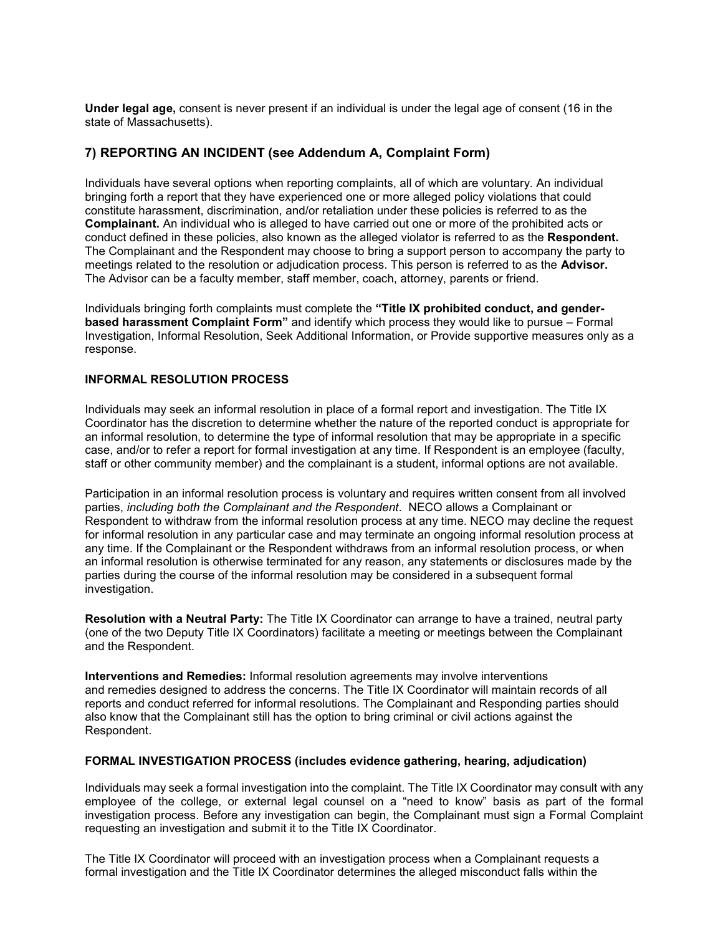**Under legal age,** consent is never present if an individual is under the legal age of consent (16 in the state of Massachusetts).

# **7) REPORTING AN INCIDENT (see Addendum A, Complaint Form)**

Individuals have several options when reporting complaints, all of which are voluntary. An individual bringing forth a report that they have experienced one or more alleged policy violations that could constitute harassment, discrimination, and/or retaliation under these policies is referred to as the **Complainant.** An individual who is alleged to have carried out one or more of the prohibited acts or conduct defined in these policies, also known as the alleged violator is referred to as the **Respondent.**  The Complainant and the Respondent may choose to bring a support person to accompany the party to meetings related to the resolution or adjudication process. This person is referred to as the **Advisor.** The Advisor can be a faculty member, staff member, coach, attorney, parents or friend.

Individuals bringing forth complaints must complete the **"Title IX prohibited conduct, and genderbased harassment Complaint Form"** and identify which process they would like to pursue – Formal Investigation, Informal Resolution, Seek Additional Information, or Provide supportive measures only as a response.

# **INFORMAL RESOLUTION PROCESS**

Individuals may seek an informal resolution in place of a formal report and investigation. The Title IX Coordinator has the discretion to determine whether the nature of the reported conduct is appropriate for an informal resolution, to determine the type of informal resolution that may be appropriate in a specific case, and/or to refer a report for formal investigation at any time. If Respondent is an employee (faculty, staff or other community member) and the complainant is a student, informal options are not available.

Participation in an informal resolution process is voluntary and requires written consent from all involved parties, *including both the Complainant and the Respondent*. NECO allows a Complainant or Respondent to withdraw from the informal resolution process at any time. NECO may decline the request for informal resolution in any particular case and may terminate an ongoing informal resolution process at any time. If the Complainant or the Respondent withdraws from an informal resolution process, or when an informal resolution is otherwise terminated for any reason, any statements or disclosures made by the parties during the course of the informal resolution may be considered in a subsequent formal investigation.

**Resolution with a Neutral Party:** The Title IX Coordinator can arrange to have a trained, neutral party (one of the two Deputy Title IX Coordinators) facilitate a meeting or meetings between the Complainant and the Respondent.

**Interventions and Remedies:** Informal resolution agreements may involve interventions and remedies designed to address the concerns. The Title IX Coordinator will maintain records of all reports and conduct referred for informal resolutions. The Complainant and Responding parties should also know that the Complainant still has the option to bring criminal or civil actions against the Respondent.

#### **FORMAL INVESTIGATION PROCESS (includes evidence gathering, hearing, adjudication)**

Individuals may seek a formal investigation into the complaint. The Title IX Coordinator may consult with any employee of the college, or external legal counsel on a "need to know" basis as part of the formal investigation process. Before any investigation can begin, the Complainant must sign a Formal Complaint requesting an investigation and submit it to the Title IX Coordinator.

The Title IX Coordinator will proceed with an investigation process when a Complainant requests a formal investigation and the Title IX Coordinator determines the alleged misconduct falls within the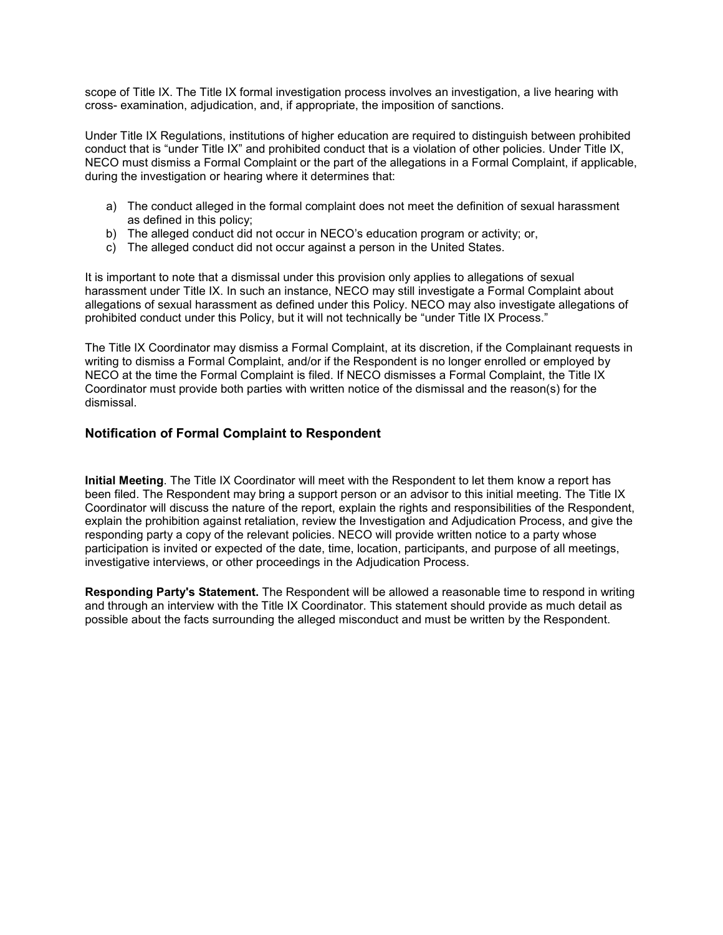scope of Title IX. The Title IX formal investigation process involves an investigation, a live hearing with cross- examination, adjudication, and, if appropriate, the imposition of sanctions.

Under Title IX Regulations, institutions of higher education are required to distinguish between prohibited conduct that is "under Title IX" and prohibited conduct that is a violation of other policies. Under Title IX, NECO must dismiss a Formal Complaint or the part of the allegations in a Formal Complaint, if applicable, during the investigation or hearing where it determines that:

- a) The conduct alleged in the formal complaint does not meet the definition of sexual harassment as defined in this policy;
- b) The alleged conduct did not occur in NECO's education program or activity; or,
- c) The alleged conduct did not occur against a person in the United States.

It is important to note that a dismissal under this provision only applies to allegations of sexual harassment under Title IX. In such an instance, NECO may still investigate a Formal Complaint about allegations of sexual harassment as defined under this Policy. NECO may also investigate allegations of prohibited conduct under this Policy, but it will not technically be "under Title IX Process."

The Title IX Coordinator may dismiss a Formal Complaint, at its discretion, if the Complainant requests in writing to dismiss a Formal Complaint, and/or if the Respondent is no longer enrolled or employed by NECO at the time the Formal Complaint is filed. If NECO dismisses a Formal Complaint, the Title IX Coordinator must provide both parties with written notice of the dismissal and the reason(s) for the dismissal.

# **Notification of Formal Complaint to Respondent**

**Initial Meeting**. The Title IX Coordinator will meet with the Respondent to let them know a report has been filed. The Respondent may bring a support person or an advisor to this initial meeting. The Title IX Coordinator will discuss the nature of the report, explain the rights and responsibilities of the Respondent, explain the prohibition against retaliation, review the Investigation and Adjudication Process, and give the responding party a copy of the relevant policies. NECO will provide written notice to a party whose participation is invited or expected of the date, time, location, participants, and purpose of all meetings, investigative interviews, or other proceedings in the Adjudication Process.

**Responding Party's Statement.** The Respondent will be allowed a reasonable time to respond in writing and through an interview with the Title IX Coordinator. This statement should provide as much detail as possible about the facts surrounding the alleged misconduct and must be written by the Respondent.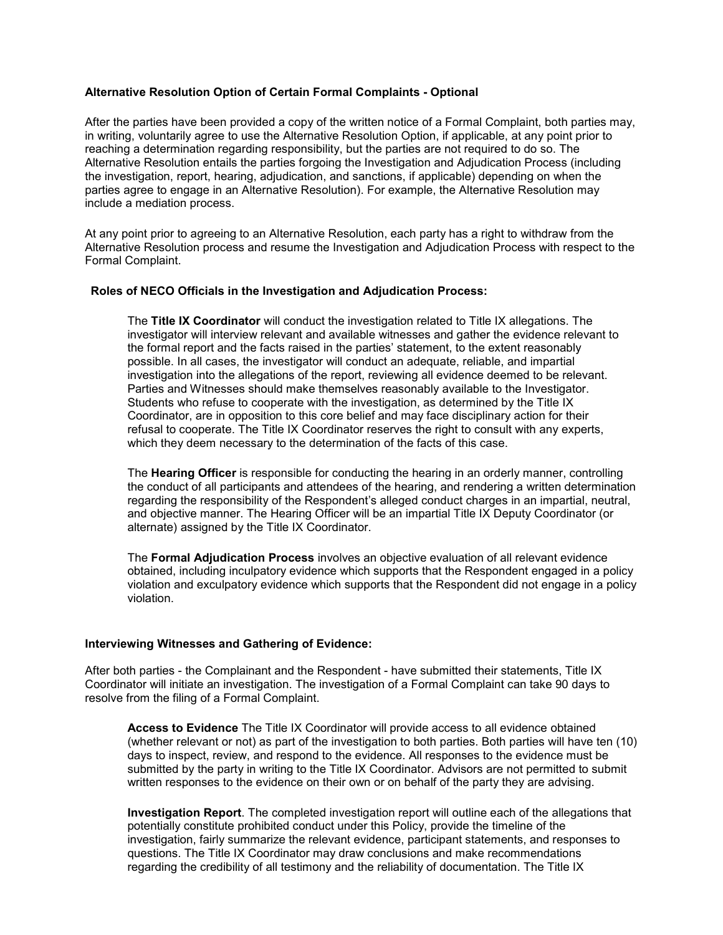### **Alternative Resolution Option of Certain Formal Complaints - Optional**

After the parties have been provided a copy of the written notice of a Formal Complaint, both parties may, in writing, voluntarily agree to use the Alternative Resolution Option, if applicable, at any point prior to reaching a determination regarding responsibility, but the parties are not required to do so. The Alternative Resolution entails the parties forgoing the Investigation and Adjudication Process (including the investigation, report, hearing, adjudication, and sanctions, if applicable) depending on when the parties agree to engage in an Alternative Resolution). For example, the Alternative Resolution may include a mediation process.

At any point prior to agreeing to an Alternative Resolution, each party has a right to withdraw from the Alternative Resolution process and resume the Investigation and Adjudication Process with respect to the Formal Complaint.

#### **Roles of NECO Officials in the Investigation and Adjudication Process:**

The **Title IX Coordinator** will conduct the investigation related to Title IX allegations. The investigator will interview relevant and available witnesses and gather the evidence relevant to the formal report and the facts raised in the parties' statement, to the extent reasonably possible. In all cases, the investigator will conduct an adequate, reliable, and impartial investigation into the allegations of the report, reviewing all evidence deemed to be relevant. Parties and Witnesses should make themselves reasonably available to the Investigator. Students who refuse to cooperate with the investigation, as determined by the Title IX Coordinator, are in opposition to this core belief and may face disciplinary action for their refusal to cooperate. The Title IX Coordinator reserves the right to consult with any experts, which they deem necessary to the determination of the facts of this case.

The **Hearing Officer** is responsible for conducting the hearing in an orderly manner, controlling the conduct of all participants and attendees of the hearing, and rendering a written determination regarding the responsibility of the Respondent's alleged conduct charges in an impartial, neutral, and objective manner. The Hearing Officer will be an impartial Title IX Deputy Coordinator (or alternate) assigned by the Title IX Coordinator.

The **Formal Adjudication Process** involves an objective evaluation of all relevant evidence obtained, including inculpatory evidence which supports that the Respondent engaged in a policy violation and exculpatory evidence which supports that the Respondent did not engage in a policy violation.

#### **Interviewing Witnesses and Gathering of Evidence:**

After both parties - the Complainant and the Respondent - have submitted their statements, Title IX Coordinator will initiate an investigation. The investigation of a Formal Complaint can take 90 days to resolve from the filing of a Formal Complaint.

**Access to Evidence** The Title IX Coordinator will provide access to all evidence obtained (whether relevant or not) as part of the investigation to both parties. Both parties will have ten (10) days to inspect, review, and respond to the evidence. All responses to the evidence must be submitted by the party in writing to the Title IX Coordinator. Advisors are not permitted to submit written responses to the evidence on their own or on behalf of the party they are advising.

**Investigation Report**. The completed investigation report will outline each of the allegations that potentially constitute prohibited conduct under this Policy, provide the timeline of the investigation, fairly summarize the relevant evidence, participant statements, and responses to questions. The Title IX Coordinator may draw conclusions and make recommendations regarding the credibility of all testimony and the reliability of documentation. The Title IX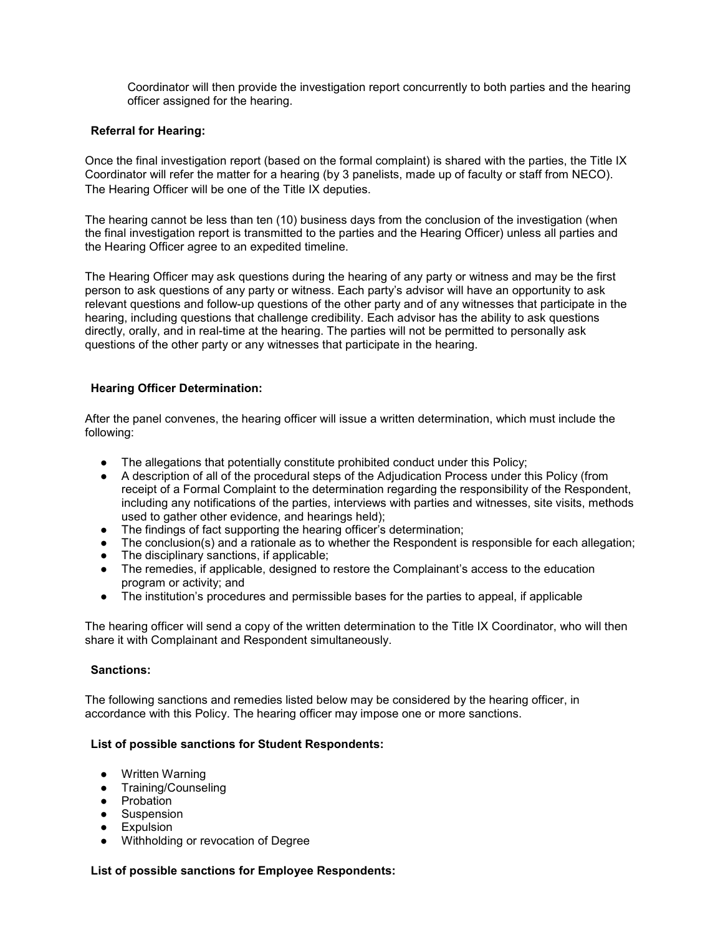Coordinator will then provide the investigation report concurrently to both parties and the hearing officer assigned for the hearing.

### **Referral for Hearing:**

Once the final investigation report (based on the formal complaint) is shared with the parties, the Title IX Coordinator will refer the matter for a hearing (by 3 panelists, made up of faculty or staff from NECO). The Hearing Officer will be one of the Title IX deputies.

The hearing cannot be less than ten (10) business days from the conclusion of the investigation (when the final investigation report is transmitted to the parties and the Hearing Officer) unless all parties and the Hearing Officer agree to an expedited timeline.

The Hearing Officer may ask questions during the hearing of any party or witness and may be the first person to ask questions of any party or witness. Each party's advisor will have an opportunity to ask relevant questions and follow-up questions of the other party and of any witnesses that participate in the hearing, including questions that challenge credibility. Each advisor has the ability to ask questions directly, orally, and in real-time at the hearing. The parties will not be permitted to personally ask questions of the other party or any witnesses that participate in the hearing.

### **Hearing Officer Determination:**

After the panel convenes, the hearing officer will issue a written determination, which must include the following:

- The allegations that potentially constitute prohibited conduct under this Policy;
- A description of all of the procedural steps of the Adjudication Process under this Policy (from receipt of a Formal Complaint to the determination regarding the responsibility of the Respondent, including any notifications of the parties, interviews with parties and witnesses, site visits, methods used to gather other evidence, and hearings held);
- The findings of fact supporting the hearing officer's determination:
- The conclusion(s) and a rationale as to whether the Respondent is responsible for each allegation;
- The disciplinary sanctions, if applicable;
- The remedies, if applicable, designed to restore the Complainant's access to the education program or activity; and
- The institution's procedures and permissible bases for the parties to appeal, if applicable

The hearing officer will send a copy of the written determination to the Title IX Coordinator, who will then share it with Complainant and Respondent simultaneously.

#### **Sanctions:**

The following sanctions and remedies listed below may be considered by the hearing officer, in accordance with this Policy. The hearing officer may impose one or more sanctions.

#### **List of possible sanctions for Student Respondents:**

- Written Warning
- Training/Counseling
- Probation
- Suspension
- **Expulsion**
- Withholding or revocation of Degree

# **List of possible sanctions for Employee Respondents:**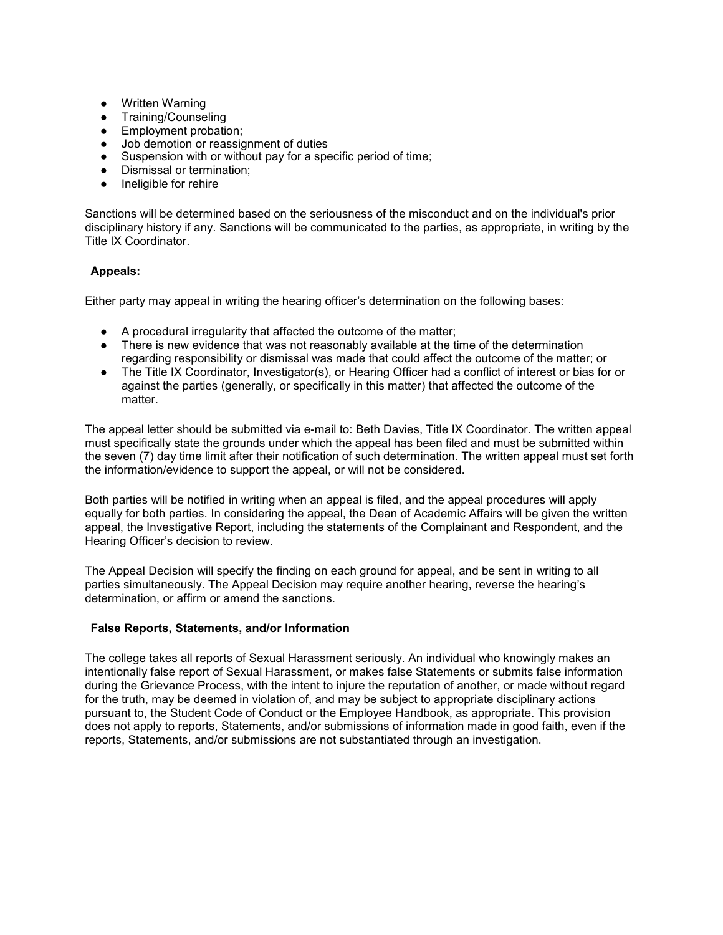- Written Warning
- Training/Counseling
- Employment probation;
- Job demotion or reassignment of duties
- Suspension with or without pay for a specific period of time;
- Dismissal or termination;
- Ineligible for rehire

Sanctions will be determined based on the seriousness of the misconduct and on the individual's prior disciplinary history if any. Sanctions will be communicated to the parties, as appropriate, in writing by the Title IX Coordinator.

### **Appeals:**

Either party may appeal in writing the hearing officer's determination on the following bases:

- A procedural irregularity that affected the outcome of the matter;
- There is new evidence that was not reasonably available at the time of the determination regarding responsibility or dismissal was made that could affect the outcome of the matter; or
- The Title IX Coordinator, Investigator(s), or Hearing Officer had a conflict of interest or bias for or against the parties (generally, or specifically in this matter) that affected the outcome of the matter.

The appeal letter should be submitted via e-mail to: Beth Davies, Title IX Coordinator. The written appeal must specifically state the grounds under which the appeal has been filed and must be submitted within the seven (7) day time limit after their notification of such determination. The written appeal must set forth the information/evidence to support the appeal, or will not be considered.

Both parties will be notified in writing when an appeal is filed, and the appeal procedures will apply equally for both parties. In considering the appeal, the Dean of Academic Affairs will be given the written appeal, the Investigative Report, including the statements of the Complainant and Respondent, and the Hearing Officer's decision to review.

The Appeal Decision will specify the finding on each ground for appeal, and be sent in writing to all parties simultaneously. The Appeal Decision may require another hearing, reverse the hearing's determination, or affirm or amend the sanctions.

#### **False Reports, Statements, and/or Information**

The college takes all reports of Sexual Harassment seriously. An individual who knowingly makes an intentionally false report of Sexual Harassment, or makes false Statements or submits false information during the Grievance Process, with the intent to injure the reputation of another, or made without regard for the truth, may be deemed in violation of, and may be subject to appropriate disciplinary actions pursuant to, the Student Code of Conduct or the Employee Handbook, as appropriate. This provision does not apply to reports, Statements, and/or submissions of information made in good faith, even if the reports, Statements, and/or submissions are not substantiated through an investigation.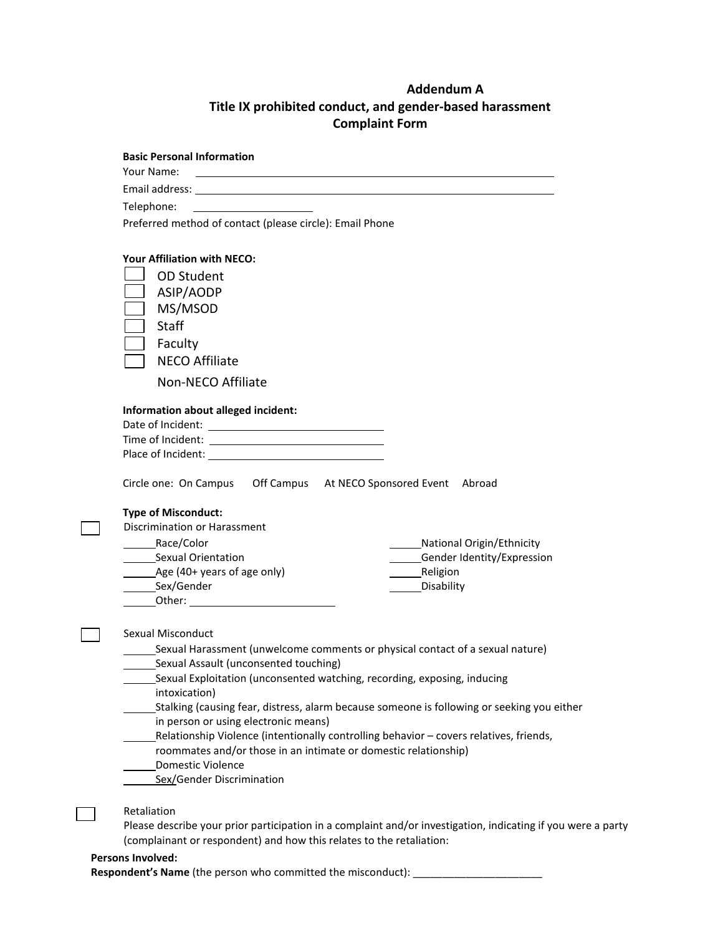# **Addendum A Title IX prohibited conduct, and gender-based harassment Complaint Form**

| <b>Basic Personal Information</b>                                                                                                                                                                                                       |                                                                                                                  |
|-----------------------------------------------------------------------------------------------------------------------------------------------------------------------------------------------------------------------------------------|------------------------------------------------------------------------------------------------------------------|
| Your Name:                                                                                                                                                                                                                              | and the control of the control of the control of the control of the control of the control of the control of the |
|                                                                                                                                                                                                                                         |                                                                                                                  |
| Telephone:                                                                                                                                                                                                                              |                                                                                                                  |
| Preferred method of contact (please circle): Email Phone                                                                                                                                                                                |                                                                                                                  |
| <b>Your Affiliation with NECO:</b>                                                                                                                                                                                                      |                                                                                                                  |
| <b>OD Student</b>                                                                                                                                                                                                                       |                                                                                                                  |
| ASIP/AODP                                                                                                                                                                                                                               |                                                                                                                  |
| MS/MSOD                                                                                                                                                                                                                                 |                                                                                                                  |
| Staff                                                                                                                                                                                                                                   |                                                                                                                  |
| Faculty                                                                                                                                                                                                                                 |                                                                                                                  |
| <b>NECO Affiliate</b>                                                                                                                                                                                                                   |                                                                                                                  |
| Non-NECO Affiliate                                                                                                                                                                                                                      |                                                                                                                  |
|                                                                                                                                                                                                                                         |                                                                                                                  |
| Information about alleged incident:                                                                                                                                                                                                     |                                                                                                                  |
|                                                                                                                                                                                                                                         |                                                                                                                  |
|                                                                                                                                                                                                                                         |                                                                                                                  |
| Circle one: On Campus   Off Campus   At NECO Sponsored Event   Abroad                                                                                                                                                                   |                                                                                                                  |
|                                                                                                                                                                                                                                         |                                                                                                                  |
| <b>Type of Misconduct:</b><br>Discrimination or Harassment                                                                                                                                                                              |                                                                                                                  |
| Race/Color                                                                                                                                                                                                                              | National Origin/Ethnicity                                                                                        |
| _________Sexual Orientation                                                                                                                                                                                                             | ______Gender Identity/Expression                                                                                 |
| __________Age (40+ years of age only)                                                                                                                                                                                                   |                                                                                                                  |
| _________Sex/Gender                                                                                                                                                                                                                     | _Disability                                                                                                      |
| <b>Other:</b> <u>Campbell</u> Contains a state of the state of the state of the state of the state of the state of the state of the state of the state of the state of the state of the state of the state of the state of the state of |                                                                                                                  |
| Sexual Misconduct                                                                                                                                                                                                                       |                                                                                                                  |
|                                                                                                                                                                                                                                         | _Sexual Harassment (unwelcome comments or physical contact of a sexual nature)                                   |
| Sexual Assault (unconsented touching)                                                                                                                                                                                                   |                                                                                                                  |
| Sexual Exploitation (unconsented watching, recording, exposing, inducing                                                                                                                                                                |                                                                                                                  |
| intoxication)                                                                                                                                                                                                                           | Stalking (causing fear, distress, alarm because someone is following or seeking you either                       |
| in person or using electronic means)                                                                                                                                                                                                    |                                                                                                                  |
|                                                                                                                                                                                                                                         | Relationship Violence (intentionally controlling behavior - covers relatives, friends,                           |
| roommates and/or those in an intimate or domestic relationship)                                                                                                                                                                         |                                                                                                                  |
| <b>Domestic Violence</b>                                                                                                                                                                                                                |                                                                                                                  |
| Sex/Gender Discrimination                                                                                                                                                                                                               |                                                                                                                  |
| Retaliation                                                                                                                                                                                                                             |                                                                                                                  |
|                                                                                                                                                                                                                                         | Please describe your prior participation in a complaint and/or investigation, indicating if you were a party     |
| (complainant or respondent) and how this relates to the retaliation:                                                                                                                                                                    |                                                                                                                  |
|                                                                                                                                                                                                                                         |                                                                                                                  |

### **Persons Involved:**

Respondent's Name (the person who committed the misconduct): \_\_\_\_\_\_\_\_\_\_\_\_\_\_\_\_\_\_\_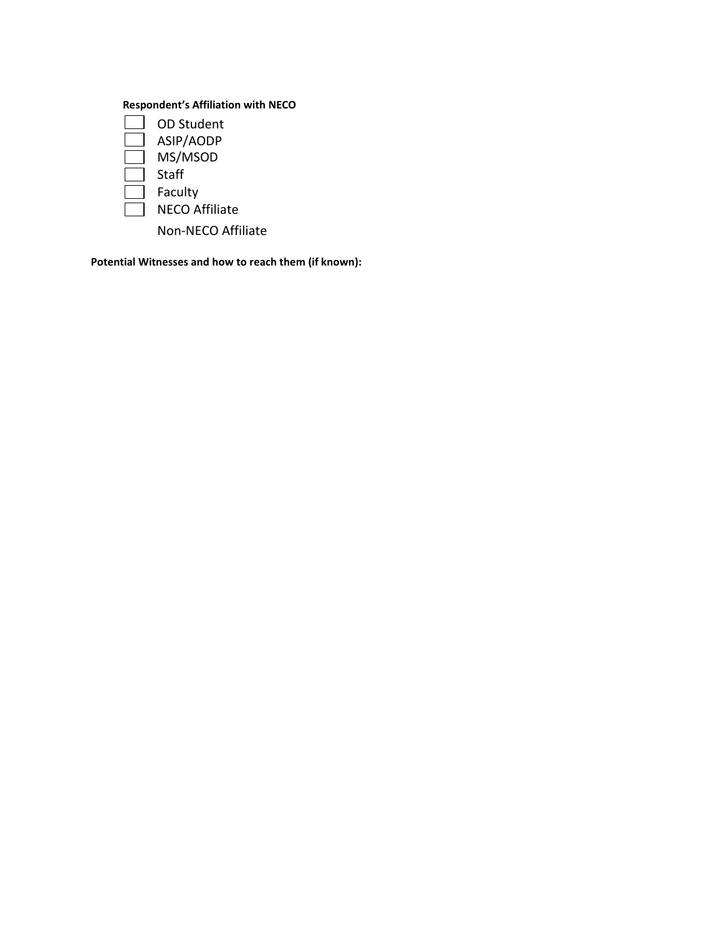# **Respondent's Affiliation with NECO**



**Potential Witnesses and how to reach them (if known):**